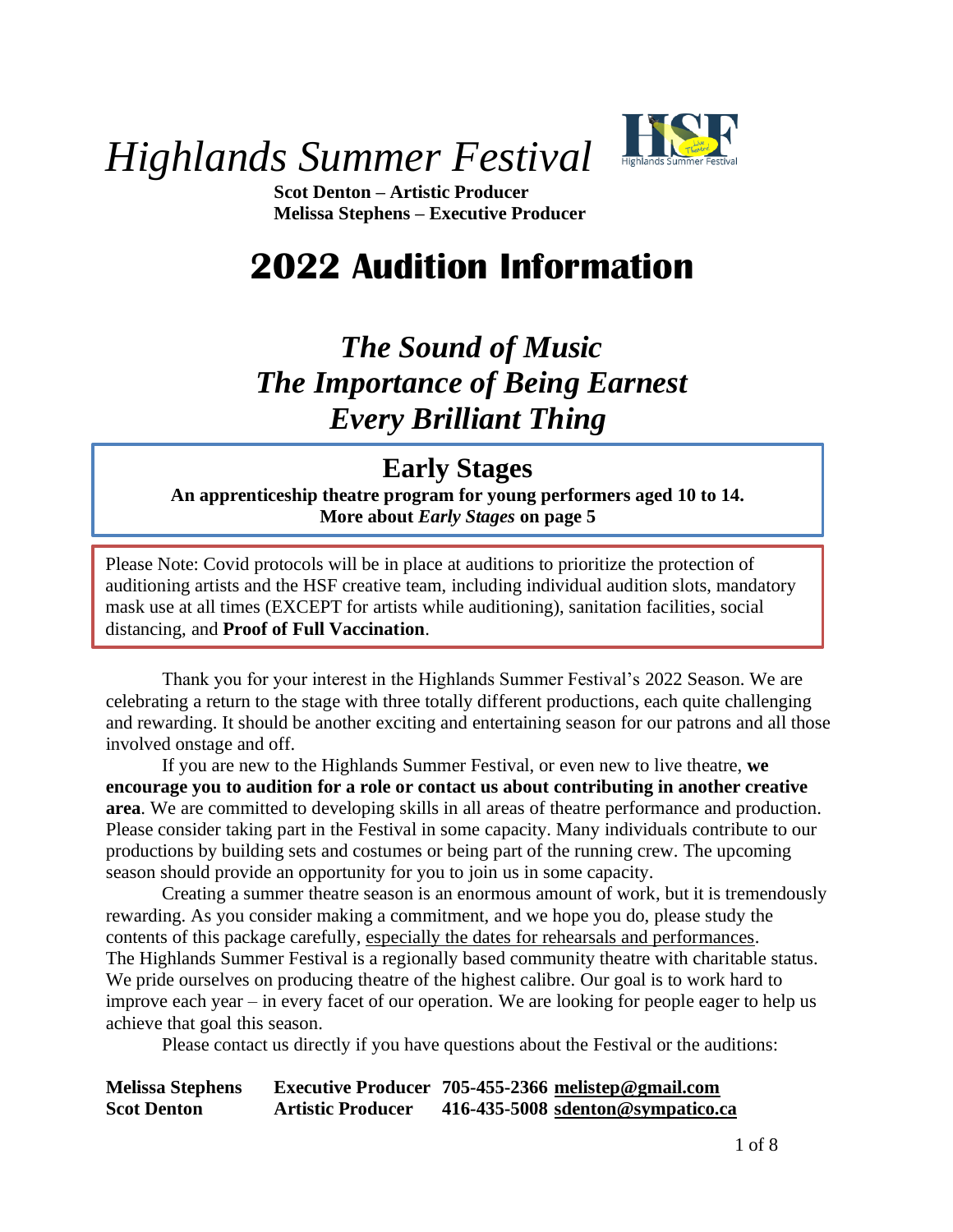

*Highlands Summer Festival*

**Scot Denton – Artistic Producer Melissa Stephens – Executive Producer**

# **2022 Audition Information**

# *The Sound of Music The Importance of Being Earnest Every Brilliant Thing*

## **Early Stages**

**An apprenticeship theatre program for young performers aged 10 to 14. More about** *Early Stages* **on page 5**

Please Note: Covid protocols will be in place at auditions to prioritize the protection of auditioning artists and the HSF creative team, including individual audition slots, mandatory mask use at all times (EXCEPT for artists while auditioning), sanitation facilities, social distancing, and **Proof of Full Vaccination**.

Thank you for your interest in the Highlands Summer Festival's 2022 Season. We are celebrating a return to the stage with three totally different productions, each quite challenging and rewarding. It should be another exciting and entertaining season for our patrons and all those involved onstage and off.

If you are new to the Highlands Summer Festival, or even new to live theatre, **we encourage you to audition for a role or contact us about contributing in another creative area**. We are committed to developing skills in all areas of theatre performance and production. Please consider taking part in the Festival in some capacity. Many individuals contribute to our productions by building sets and costumes or being part of the running crew. The upcoming season should provide an opportunity for you to join us in some capacity.

Creating a summer theatre season is an enormous amount of work, but it is tremendously rewarding. As you consider making a commitment, and we hope you do, please study the contents of this package carefully, especially the dates for rehearsals and performances. The Highlands Summer Festival is a regionally based community theatre with charitable status. We pride ourselves on producing theatre of the highest calibre. Our goal is to work hard to improve each year – in every facet of our operation. We are looking for people eager to help us achieve that goal this season.

Please contact us directly if you have questions about the Festival or the auditions:

**Melissa Stephens Executive Producer 705-455-2366 [melistep@gmail.com](mailto:melistep@gmail.com) Scot Denton Artistic Producer 416-435-5008 [sdenton@sympatico.ca](mailto:sdenton@sympatico.ca)**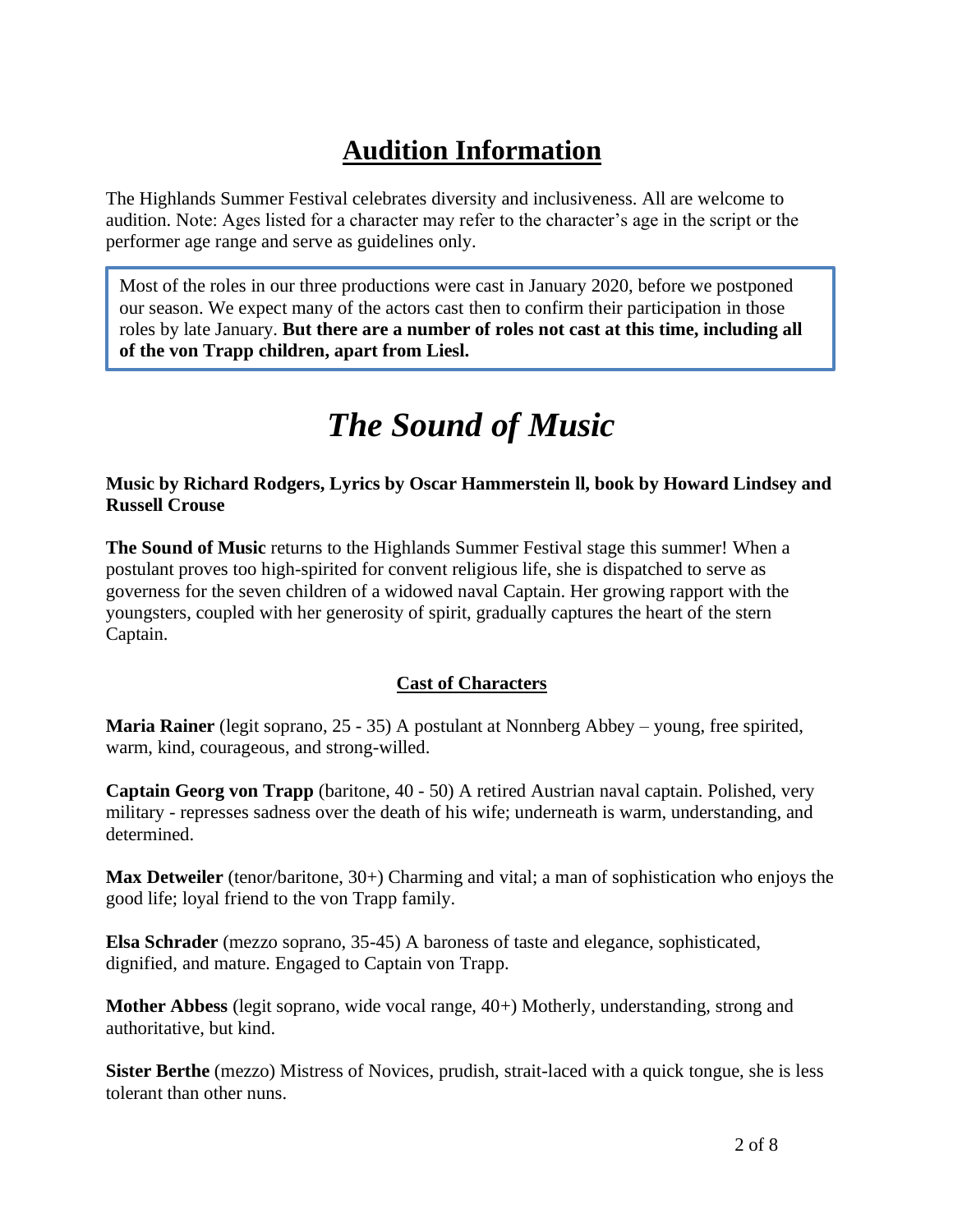# **Audition Information**

The Highlands Summer Festival celebrates diversity and inclusiveness. All are welcome to audition. Note: Ages listed for a character may refer to the character's age in the script or the performer age range and serve as guidelines only.

Most of the roles in our three productions were cast in January 2020, before we postponed our season. We expect many of the actors cast then to confirm their participation in those roles by late January. **But there are a number of roles not cast at this time, including all of the von Trapp children, apart from Liesl.**

# *The Sound of Music*

**Music by Richard Rodgers, Lyrics by Oscar Hammerstein ll, book by Howard Lindsey and Russell Crouse**

**The Sound of Music** returns to the Highlands Summer Festival stage this summer! When a postulant proves too high-spirited for convent religious life, she is dispatched to serve as governess for the seven children of a widowed naval Captain. Her growing rapport with the youngsters, coupled with her generosity of spirit, gradually captures the heart of the stern Captain.

#### **Cast of Characters**

**Maria Rainer** (legit soprano, 25 - 35) A postulant at Nonnberg Abbey – young, free spirited, warm, kind, courageous, and strong-willed.

**Captain Georg von Trapp** (baritone, 40 - 50) A retired Austrian naval captain. Polished, very military - represses sadness over the death of his wife; underneath is warm, understanding, and determined.

**Max Detweiler** (tenor/baritone, 30+) Charming and vital; a man of sophistication who enjoys the good life; loyal friend to the von Trapp family.

**Elsa Schrader** (mezzo soprano, 35-45) A baroness of taste and elegance, sophisticated, dignified, and mature. Engaged to Captain von Trapp.

**Mother Abbess** (legit soprano, wide vocal range, 40+) Motherly, understanding, strong and authoritative, but kind.

**Sister Berthe** (mezzo) Mistress of Novices, prudish, strait-laced with a quick tongue, she is less tolerant than other nuns.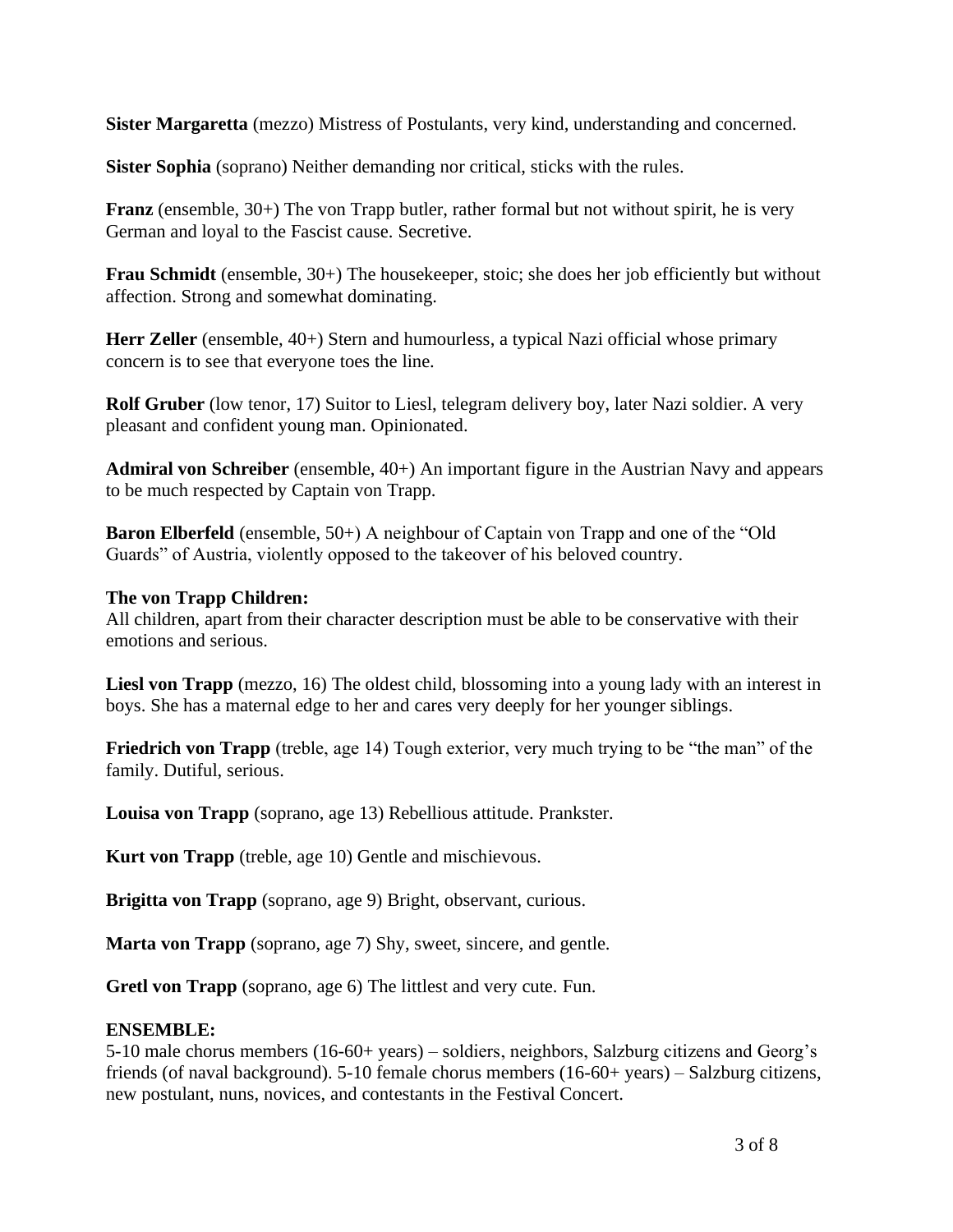**Sister Margaretta** (mezzo) Mistress of Postulants, very kind, understanding and concerned.

**Sister Sophia** (soprano) Neither demanding nor critical, sticks with the rules.

**Franz** (ensemble, 30+) The von Trapp butler, rather formal but not without spirit, he is very German and loyal to the Fascist cause. Secretive.

**Frau Schmidt** (ensemble, 30+) The housekeeper, stoic; she does her job efficiently but without affection. Strong and somewhat dominating.

**Herr Zeller** (ensemble, 40+) Stern and humourless, a typical Nazi official whose primary concern is to see that everyone toes the line.

**Rolf Gruber** (low tenor, 17) Suitor to Liesl, telegram delivery boy, later Nazi soldier. A very pleasant and confident young man. Opinionated.

**Admiral von Schreiber** (ensemble, 40+) An important figure in the Austrian Navy and appears to be much respected by Captain von Trapp.

**Baron Elberfeld** (ensemble, 50+) A neighbour of Captain von Trapp and one of the "Old Guards" of Austria, violently opposed to the takeover of his beloved country.

#### **The von Trapp Children:**

All children, apart from their character description must be able to be conservative with their emotions and serious.

**Liesl von Trapp** (mezzo, 16) The oldest child, blossoming into a young lady with an interest in boys. She has a maternal edge to her and cares very deeply for her younger siblings.

**Friedrich von Trapp** (treble, age 14) Tough exterior, very much trying to be "the man" of the family. Dutiful, serious.

**Louisa von Trapp** (soprano, age 13) Rebellious attitude. Prankster.

**Kurt von Trapp** (treble, age 10) Gentle and mischievous.

**Brigitta von Trapp** (soprano, age 9) Bright, observant, curious.

**Marta von Trapp** (soprano, age 7) Shy, sweet, sincere, and gentle.

**Gretl von Trapp** (soprano, age 6) The littlest and very cute. Fun.

#### **ENSEMBLE:**

5-10 male chorus members (16-60+ years) – soldiers, neighbors, Salzburg citizens and Georg's friends (of naval background). 5-10 female chorus members (16-60+ years) – Salzburg citizens, new postulant, nuns, novices, and contestants in the Festival Concert.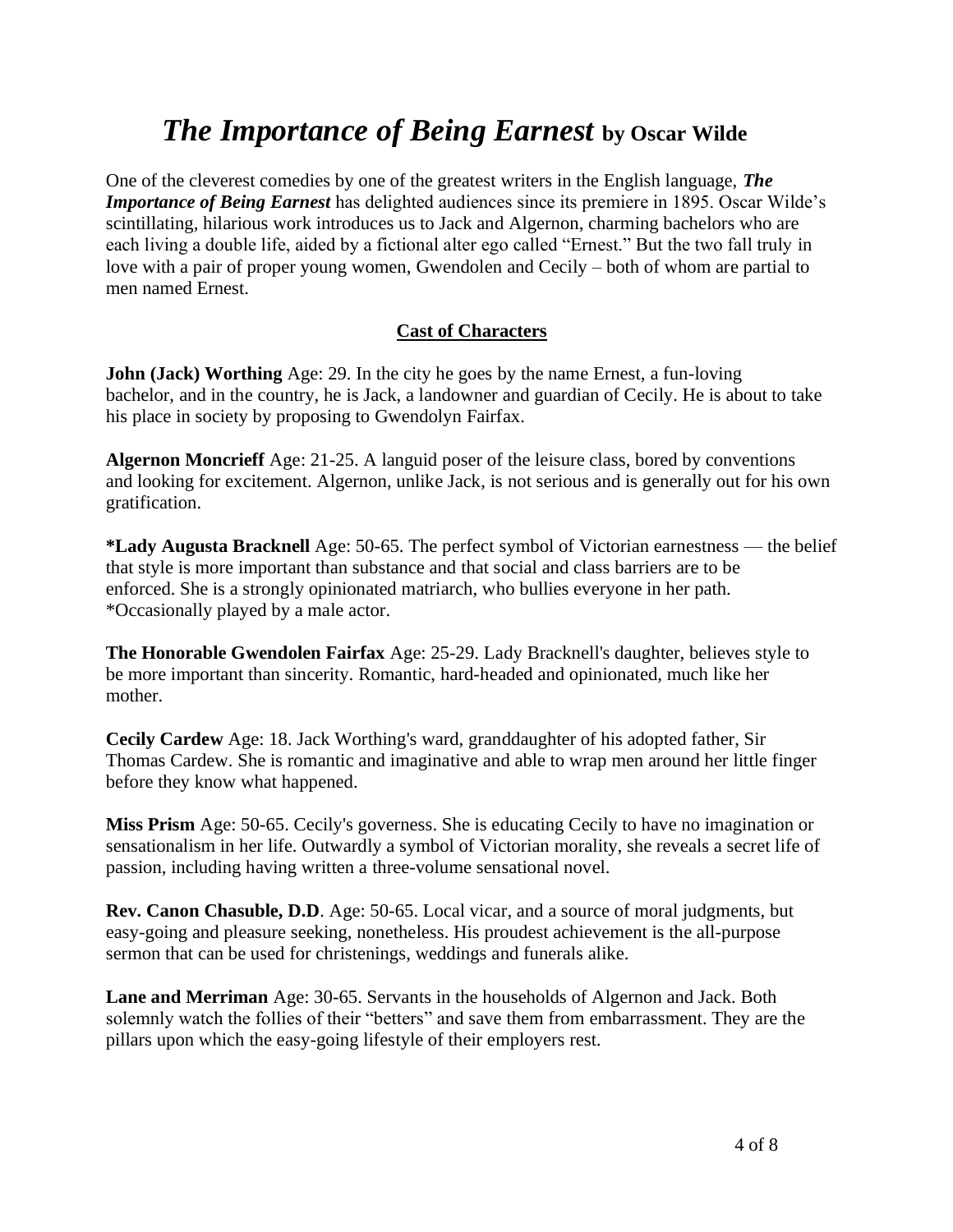## *The Importance of Being Earnest* **by Oscar Wilde**

One of the cleverest comedies by one of the greatest writers in the English language, *The Importance of Being Earnest* has delighted audiences since its premiere in 1895. Oscar Wilde's scintillating, hilarious work introduces us to Jack and Algernon, charming bachelors who are each living a double life, aided by a fictional alter ego called "Ernest." But the two fall truly in love with a pair of proper young women, Gwendolen and Cecily – both of whom are partial to men named Ernest.

#### **Cast of Characters**

**John (Jack) Worthing** Age: 29. In the city he goes by the name Ernest, a fun-loving bachelor, and in the country, he is Jack, a landowner and guardian of Cecily. He is about to take his place in society by proposing to Gwendolyn Fairfax.

**Algernon Moncrieff** Age: 21-25. A languid poser of the leisure class, bored by conventions and looking for excitement. Algernon, unlike Jack, is not serious and is generally out for his own gratification.

**\*Lady Augusta Bracknell** Age: 50-65. The perfect symbol of Victorian earnestness — the belief that style is more important than substance and that social and class barriers are to be enforced. She is a strongly opinionated matriarch, who bullies everyone in her path. \*Occasionally played by a male actor.

**The Honorable Gwendolen Fairfax** Age: 25-29. Lady Bracknell's daughter, believes style to be more important than sincerity. Romantic, hard-headed and opinionated, much like her mother.

**Cecily Cardew** Age: 18. Jack Worthing's ward, granddaughter of his adopted father, Sir Thomas Cardew. She is romantic and imaginative and able to wrap men around her little finger before they know what happened.

**Miss Prism** Age: 50-65. Cecily's governess. She is educating Cecily to have no imagination or sensationalism in her life. Outwardly a symbol of Victorian morality, she reveals a secret life of passion, including having written a three-volume sensational novel.

**Rev. Canon Chasuble, D.D**. Age: 50-65. Local vicar, and a source of moral judgments, but easy-going and pleasure seeking, nonetheless. His proudest achievement is the all-purpose sermon that can be used for christenings, weddings and funerals alike.

**Lane and Merriman** Age: 30-65. Servants in the households of Algernon and Jack. Both solemnly watch the follies of their "betters" and save them from embarrassment. They are the pillars upon which the easy-going lifestyle of their employers rest.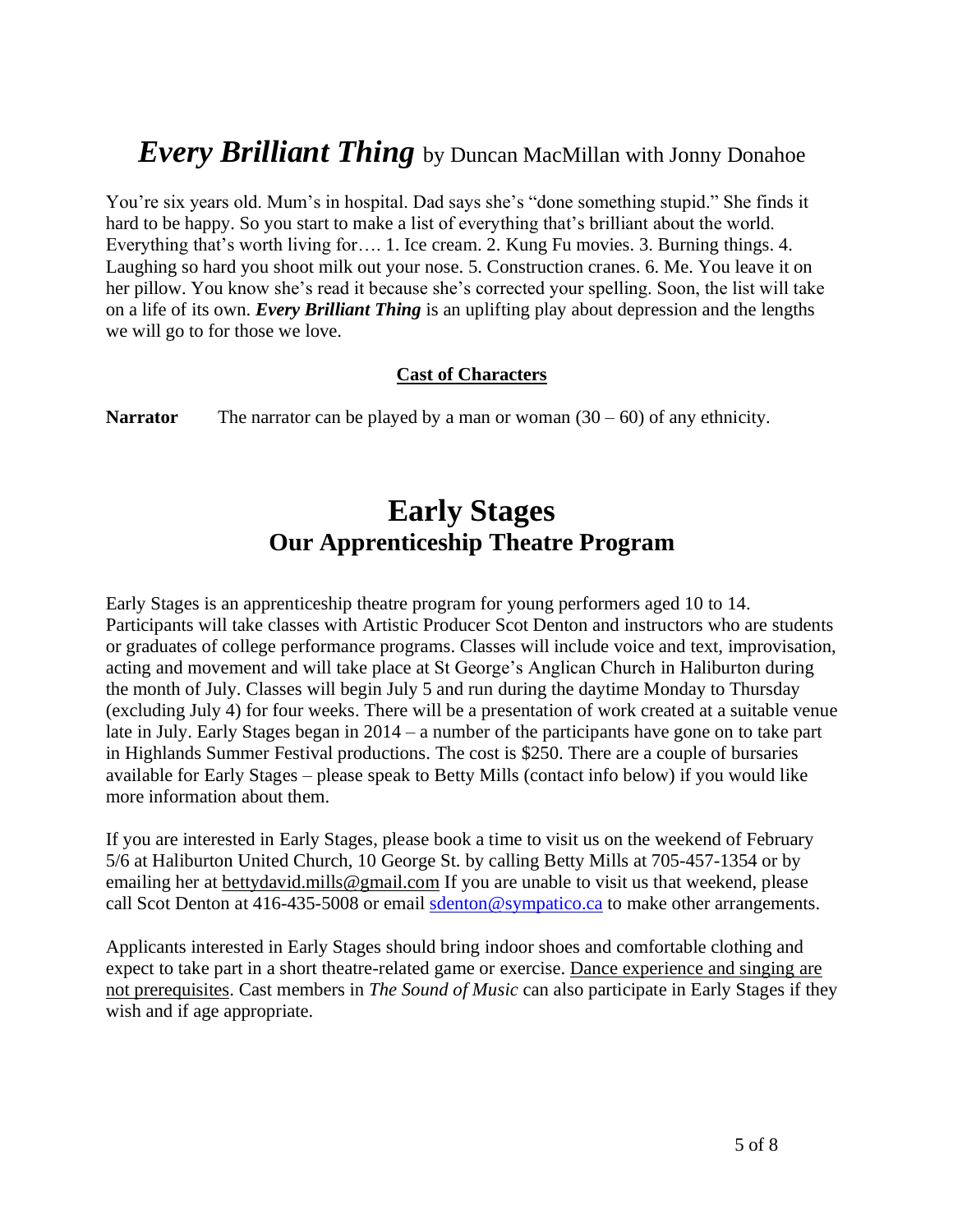## *Every Brilliant Thing* by Duncan MacMillan with Jonny Donahoe

You're six years old. Mum's in hospital. Dad says she's "done something stupid." She finds it hard to be happy. So you start to make a list of everything that's brilliant about the world. Everything that's worth living for…. 1. Ice cream. 2. Kung Fu movies. 3. Burning things. 4. Laughing so hard you shoot milk out your nose. 5. Construction cranes. 6. Me. You leave it on her pillow. You know she's read it because she's corrected your spelling. Soon, the list will take on a life of its own. *Every Brilliant Thing* is an uplifting play about depression and the lengths we will go to for those we love.

#### **Cast of Characters**

**Narrator** The narrator can be played by a man or woman  $(30 - 60)$  of any ethnicity.

## **Early Stages Our Apprenticeship Theatre Program**

Early Stages is an apprenticeship theatre program for young performers aged 10 to 14. Participants will take classes with Artistic Producer Scot Denton and instructors who are students or graduates of college performance programs. Classes will include voice and text, improvisation, acting and movement and will take place at St George's Anglican Church in Haliburton during the month of July. Classes will begin July 5 and run during the daytime Monday to Thursday (excluding July 4) for four weeks. There will be a presentation of work created at a suitable venue late in July. Early Stages began in 2014 – a number of the participants have gone on to take part in Highlands Summer Festival productions. The cost is \$250. There are a couple of bursaries available for Early Stages – please speak to Betty Mills (contact info below) if you would like more information about them.

If you are interested in Early Stages, please book a time to visit us on the weekend of February 5/6 at Haliburton United Church, 10 George St. by calling Betty Mills at 705-457-1354 or by emailing her at [bettydavid.mills@gmail.com](mailto:bettydavid.mills@gmail.com) If you are unable to visit us that weekend, please call Scot Denton at 416-435-5008 or email [sdenton@sympatico.ca](mailto:sdenton@sympatico.ca) to make other arrangements.

Applicants interested in Early Stages should bring indoor shoes and comfortable clothing and expect to take part in a short theatre-related game or exercise. Dance experience and singing are not prerequisites. Cast members in *The Sound of Music* can also participate in Early Stages if they wish and if age appropriate.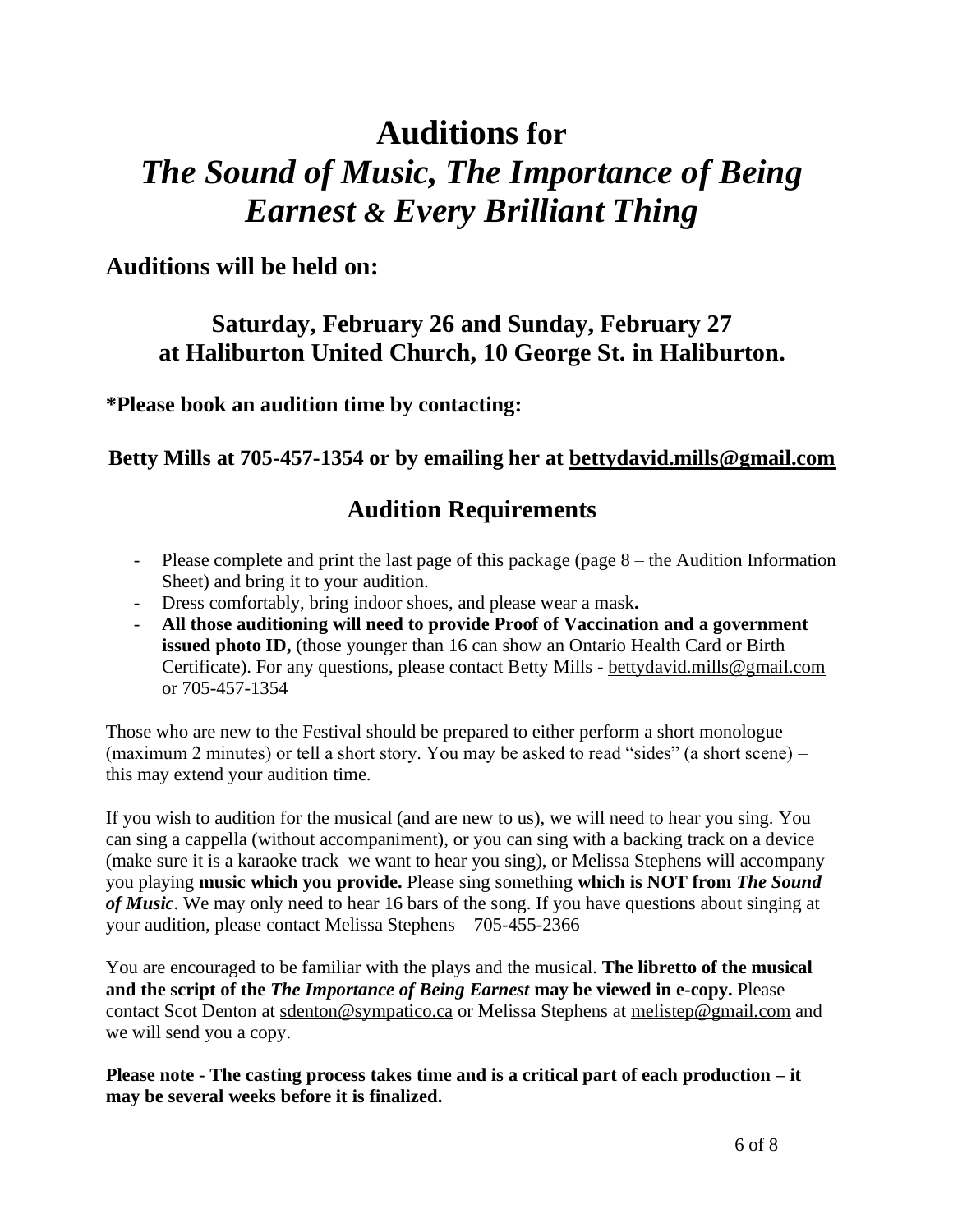# **Auditions for** *The Sound of Music, The Importance of Being Earnest & Every Brilliant Thing*

### **Auditions will be held on:**

### **Saturday, February 26 and Sunday, February 27 at Haliburton United Church, 10 George St. in Haliburton.**

**\*Please book an audition time by contacting:**

### **Betty Mills at 705-457-1354 or by emailing her at [bettydavid.mills@gmail.com](mailto:bettydavid.mills@gmail.com)**

### **Audition Requirements**

- Please complete and print the last page of this package (page 8 the Audition Information Sheet) and bring it to your audition.
- Dress comfortably, bring indoor shoes, and please wear a mask**.**
- **All those auditioning will need to provide Proof of Vaccination and a government issued photo ID,** (those younger than 16 can show an Ontario Health Card or Birth Certificate). For any questions, please contact Betty Mills - [bettydavid.mills@gmail.com](mailto:bettydavid.mills@gmail.com) or 705-457-1354

Those who are new to the Festival should be prepared to either perform a short monologue (maximum 2 minutes) or tell a short story. You may be asked to read "sides" (a short scene) – this may extend your audition time.

If you wish to audition for the musical (and are new to us), we will need to hear you sing. You can sing a cappella (without accompaniment), or you can sing with a backing track on a device (make sure it is a karaoke track–we want to hear you sing), or Melissa Stephens will accompany you playing **music which you provide.** Please sing something **which is NOT from** *The Sound of Music*. We may only need to hear 16 bars of the song. If you have questions about singing at your audition, please contact Melissa Stephens – 705-455-2366

You are encouraged to be familiar with the plays and the musical. **The libretto of the musical and the script of the** *The Importance of Being Earnest* **may be viewed in e-copy.** Please contact Scot Denton at [sdenton@sympatico.ca](mailto:sdenton@sympatico.ca) or Melissa Stephens at [melistep@gmail.com](mailto:melistep@gmail.com) and we will send you a copy.

**Please note - The casting process takes time and is a critical part of each production – it may be several weeks before it is finalized.**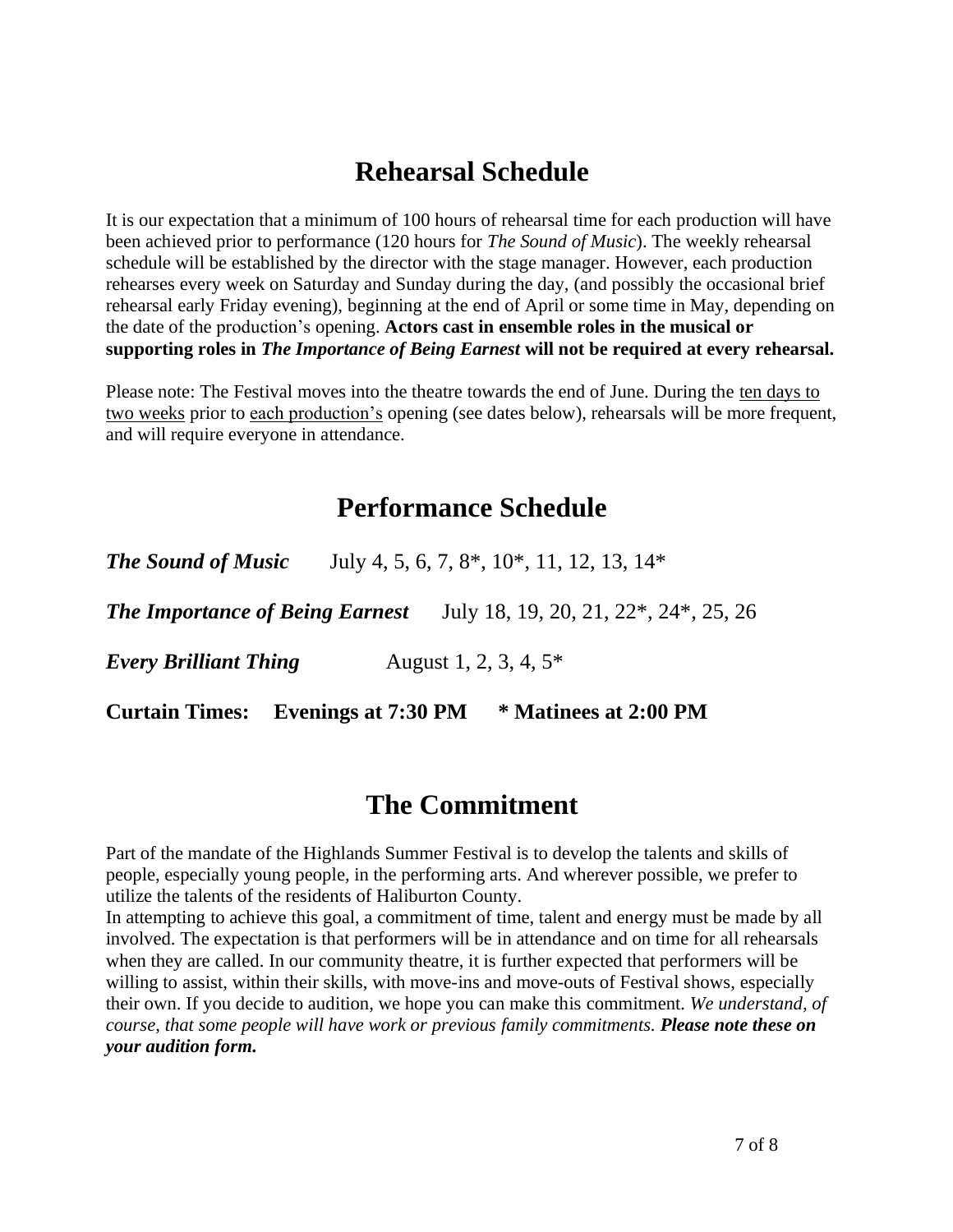## **Rehearsal Schedule**

It is our expectation that a minimum of 100 hours of rehearsal time for each production will have been achieved prior to performance (120 hours for *The Sound of Music*). The weekly rehearsal schedule will be established by the director with the stage manager. However, each production rehearses every week on Saturday and Sunday during the day, (and possibly the occasional brief rehearsal early Friday evening), beginning at the end of April or some time in May, depending on the date of the production's opening. **Actors cast in ensemble roles in the musical or supporting roles in** *The Importance of Being Earnest* **will not be required at every rehearsal.**

Please note: The Festival moves into the theatre towards the end of June. During the ten days to two weeks prior to each production's opening (see dates below), rehearsals will be more frequent, and will require everyone in attendance.

## **Performance Schedule**

| <b>The Sound of Music</b>                 |                          | July 4, 5, 6, 7, 8 <sup>*</sup> , 10 <sup>*</sup> , 11, 12, 13, 14 <sup>*</sup>                        |
|-------------------------------------------|--------------------------|--------------------------------------------------------------------------------------------------------|
|                                           |                          | <b>The Importance of Being Earnest</b> July 18, 19, 20, 21, 22 <sup>*</sup> , 24 <sup>*</sup> , 25, 26 |
| <b>Every Brilliant Thing</b>              | August 1, 2, 3, 4, $5^*$ |                                                                                                        |
| <b>Curtain Times:</b> Evenings at 7:30 PM |                          | * Matinees at 2:00 PM                                                                                  |

### **The Commitment**

Part of the mandate of the Highlands Summer Festival is to develop the talents and skills of people, especially young people, in the performing arts. And wherever possible, we prefer to utilize the talents of the residents of Haliburton County.

In attempting to achieve this goal, a commitment of time, talent and energy must be made by all involved. The expectation is that performers will be in attendance and on time for all rehearsals when they are called. In our community theatre, it is further expected that performers will be willing to assist, within their skills, with move-ins and move-outs of Festival shows, especially their own. If you decide to audition, we hope you can make this commitment. *We understand, of course, that some people will have work or previous family commitments. Please note these on your audition form.*